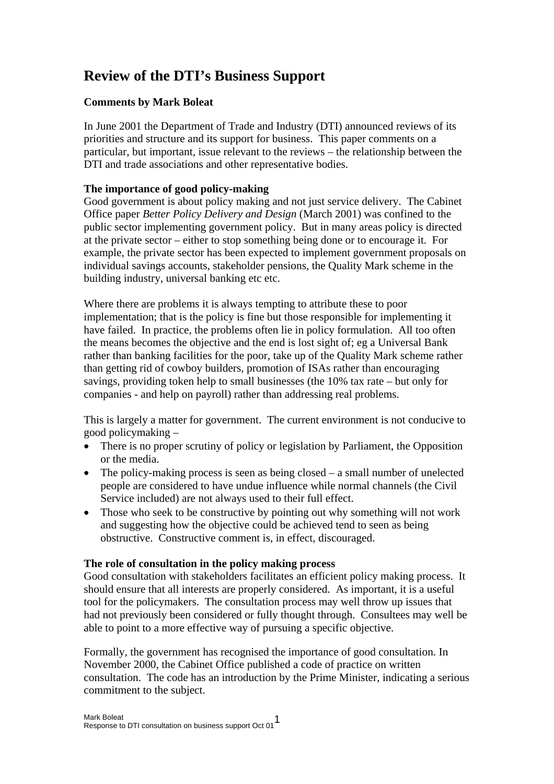# **Review of the DTI's Business Support**

## **Comments by Mark Boleat**

In June 2001 the Department of Trade and Industry (DTI) announced reviews of its priorities and structure and its support for business. This paper comments on a particular, but important, issue relevant to the reviews – the relationship between the DTI and trade associations and other representative bodies.

## **The importance of good policy-making**

Good government is about policy making and not just service delivery. The Cabinet Office paper *Better Policy Delivery and Design* (March 2001) was confined to the public sector implementing government policy. But in many areas policy is directed at the private sector – either to stop something being done or to encourage it. For example, the private sector has been expected to implement government proposals on individual savings accounts, stakeholder pensions, the Quality Mark scheme in the building industry, universal banking etc etc.

Where there are problems it is always tempting to attribute these to poor implementation; that is the policy is fine but those responsible for implementing it have failed. In practice, the problems often lie in policy formulation. All too often the means becomes the objective and the end is lost sight of; eg a Universal Bank rather than banking facilities for the poor, take up of the Quality Mark scheme rather than getting rid of cowboy builders, promotion of ISAs rather than encouraging savings, providing token help to small businesses (the 10% tax rate – but only for companies - and help on payroll) rather than addressing real problems.

This is largely a matter for government. The current environment is not conducive to good policymaking –

- There is no proper scrutiny of policy or legislation by Parliament, the Opposition or the media.
- The policy-making process is seen as being closed a small number of unelected people are considered to have undue influence while normal channels (the Civil Service included) are not always used to their full effect.
- Those who seek to be constructive by pointing out why something will not work and suggesting how the objective could be achieved tend to seen as being obstructive. Constructive comment is, in effect, discouraged.

## **The role of consultation in the policy making process**

Good consultation with stakeholders facilitates an efficient policy making process. It should ensure that all interests are properly considered. As important, it is a useful tool for the policymakers. The consultation process may well throw up issues that had not previously been considered or fully thought through. Consultees may well be able to point to a more effective way of pursuing a specific objective.

Formally, the government has recognised the importance of good consultation. In November 2000, the Cabinet Office published a code of practice on written consultation. The code has an introduction by the Prime Minister, indicating a serious commitment to the subject.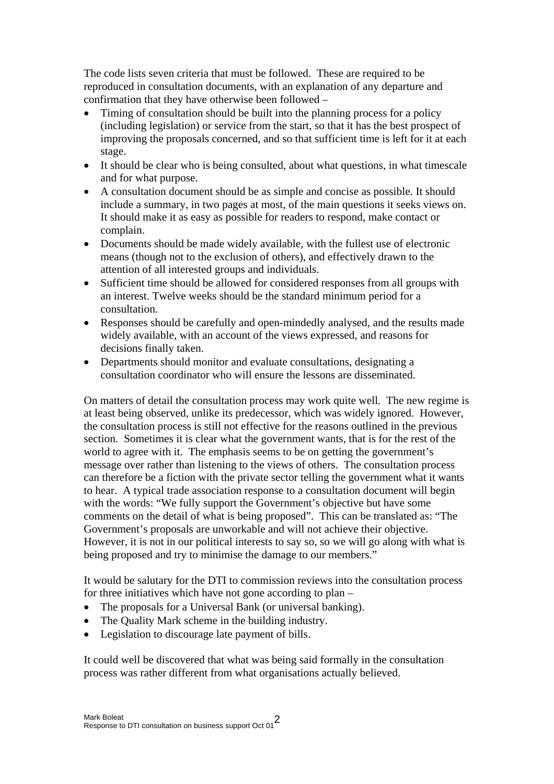The code lists seven criteria that must be followed. These are required to be reproduced in consultation documents, with an explanation of any departure and confirmation that they have otherwise been followed –

- Timing of consultation should be built into the planning process for a policy (including legislation) or service from the start, so that it has the best prospect of improving the proposals concerned, and so that sufficient time is left for it at each stage.
- It should be clear who is being consulted, about what questions, in what timescale and for what purpose.
- A consultation document should be as simple and concise as possible. It should include a summary, in two pages at most, of the main questions it seeks views on. It should make it as easy as possible for readers to respond, make contact or complain.
- Documents should be made widely available, with the fullest use of electronic means (though not to the exclusion of others), and effectively drawn to the attention of all interested groups and individuals.
- Sufficient time should be allowed for considered responses from all groups with an interest. Twelve weeks should be the standard minimum period for a consultation.
- Responses should be carefully and open-mindedly analysed, and the results made widely available, with an account of the views expressed, and reasons for decisions finally taken.
- Departments should monitor and evaluate consultations, designating a consultation coordinator who will ensure the lessons are disseminated.

On matters of detail the consultation process may work quite well. The new regime is at least being observed, unlike its predecessor, which was widely ignored. However, the consultation process is still not effective for the reasons outlined in the previous section. Sometimes it is clear what the government wants, that is for the rest of the world to agree with it. The emphasis seems to be on getting the government's message over rather than listening to the views of others. The consultation process can therefore be a fiction with the private sector telling the government what it wants to hear. A typical trade association response to a consultation document will begin with the words: "We fully support the Government's objective but have some comments on the detail of what is being proposed". This can be translated as: "The Government's proposals are unworkable and will not achieve their objective. However, it is not in our political interests to say so, so we will go along with what is being proposed and try to minimise the damage to our members."

It would be salutary for the DTI to commission reviews into the consultation process for three initiatives which have not gone according to plan –

- The proposals for a Universal Bank (or universal banking).
- The Quality Mark scheme in the building industry.
- Legislation to discourage late payment of bills.

It could well be discovered that what was being said formally in the consultation process was rather different from what organisations actually believed.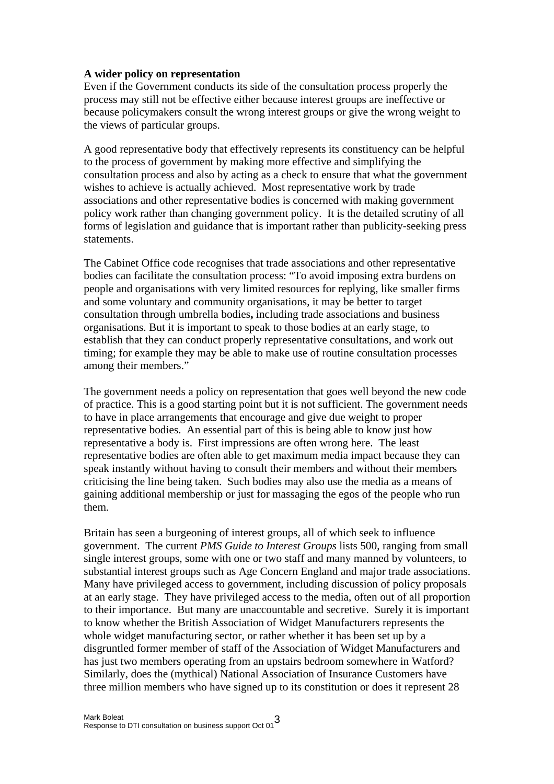#### **A wider policy on representation**

Even if the Government conducts its side of the consultation process properly the process may still not be effective either because interest groups are ineffective or because policymakers consult the wrong interest groups or give the wrong weight to the views of particular groups.

A good representative body that effectively represents its constituency can be helpful to the process of government by making more effective and simplifying the consultation process and also by acting as a check to ensure that what the government wishes to achieve is actually achieved. Most representative work by trade associations and other representative bodies is concerned with making government policy work rather than changing government policy. It is the detailed scrutiny of all forms of legislation and guidance that is important rather than publicity-seeking press statements.

The Cabinet Office code recognises that trade associations and other representative bodies can facilitate the consultation process: "To avoid imposing extra burdens on people and organisations with very limited resources for replying, like smaller firms and some voluntary and community organisations, it may be better to target consultation through umbrella bodies**,** including trade associations and business organisations. But it is important to speak to those bodies at an early stage, to establish that they can conduct properly representative consultations, and work out timing; for example they may be able to make use of routine consultation processes among their members."

The government needs a policy on representation that goes well beyond the new code of practice. This is a good starting point but it is not sufficient. The government needs to have in place arrangements that encourage and give due weight to proper representative bodies. An essential part of this is being able to know just how representative a body is. First impressions are often wrong here. The least representative bodies are often able to get maximum media impact because they can speak instantly without having to consult their members and without their members criticising the line being taken. Such bodies may also use the media as a means of gaining additional membership or just for massaging the egos of the people who run them.

Britain has seen a burgeoning of interest groups, all of which seek to influence government. The current *PMS Guide to Interest Groups* lists 500, ranging from small single interest groups, some with one or two staff and many manned by volunteers, to substantial interest groups such as Age Concern England and major trade associations. Many have privileged access to government, including discussion of policy proposals at an early stage. They have privileged access to the media, often out of all proportion to their importance. But many are unaccountable and secretive. Surely it is important to know whether the British Association of Widget Manufacturers represents the whole widget manufacturing sector, or rather whether it has been set up by a disgruntled former member of staff of the Association of Widget Manufacturers and has just two members operating from an upstairs bedroom somewhere in Watford? Similarly, does the (mythical) National Association of Insurance Customers have three million members who have signed up to its constitution or does it represent 28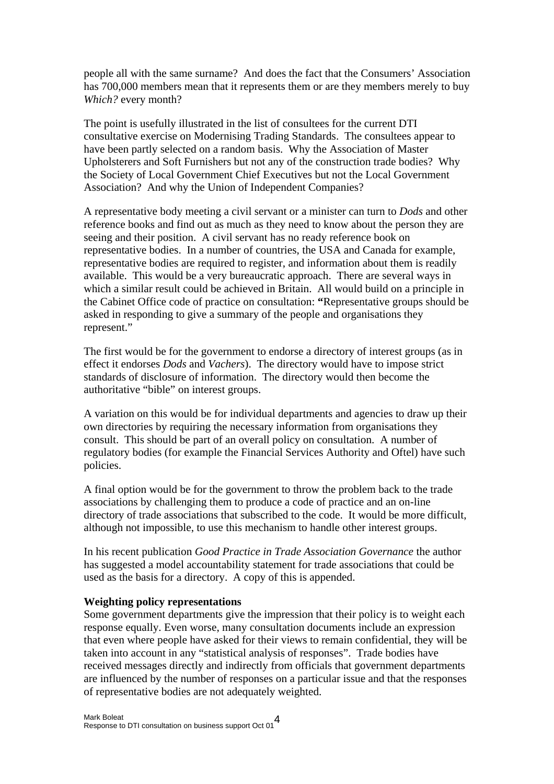people all with the same surname? And does the fact that the Consumers' Association has 700,000 members mean that it represents them or are they members merely to buy *Which?* every month?

The point is usefully illustrated in the list of consultees for the current DTI consultative exercise on Modernising Trading Standards. The consultees appear to have been partly selected on a random basis. Why the Association of Master Upholsterers and Soft Furnishers but not any of the construction trade bodies? Why the Society of Local Government Chief Executives but not the Local Government Association? And why the Union of Independent Companies?

A representative body meeting a civil servant or a minister can turn to *Dods* and other reference books and find out as much as they need to know about the person they are seeing and their position. A civil servant has no ready reference book on representative bodies. In a number of countries, the USA and Canada for example, representative bodies are required to register, and information about them is readily available. This would be a very bureaucratic approach. There are several ways in which a similar result could be achieved in Britain. All would build on a principle in the Cabinet Office code of practice on consultation: **"**Representative groups should be asked in responding to give a summary of the people and organisations they represent."

The first would be for the government to endorse a directory of interest groups (as in effect it endorses *Dods* and *Vachers*). The directory would have to impose strict standards of disclosure of information. The directory would then become the authoritative "bible" on interest groups.

A variation on this would be for individual departments and agencies to draw up their own directories by requiring the necessary information from organisations they consult. This should be part of an overall policy on consultation. A number of regulatory bodies (for example the Financial Services Authority and Oftel) have such policies.

A final option would be for the government to throw the problem back to the trade associations by challenging them to produce a code of practice and an on-line directory of trade associations that subscribed to the code. It would be more difficult, although not impossible, to use this mechanism to handle other interest groups.

In his recent publication *Good Practice in Trade Association Governance* the author has suggested a model accountability statement for trade associations that could be used as the basis for a directory. A copy of this is appended.

#### **Weighting policy representations**

Some government departments give the impression that their policy is to weight each response equally. Even worse, many consultation documents include an expression that even where people have asked for their views to remain confidential, they will be taken into account in any "statistical analysis of responses". Trade bodies have received messages directly and indirectly from officials that government departments are influenced by the number of responses on a particular issue and that the responses of representative bodies are not adequately weighted.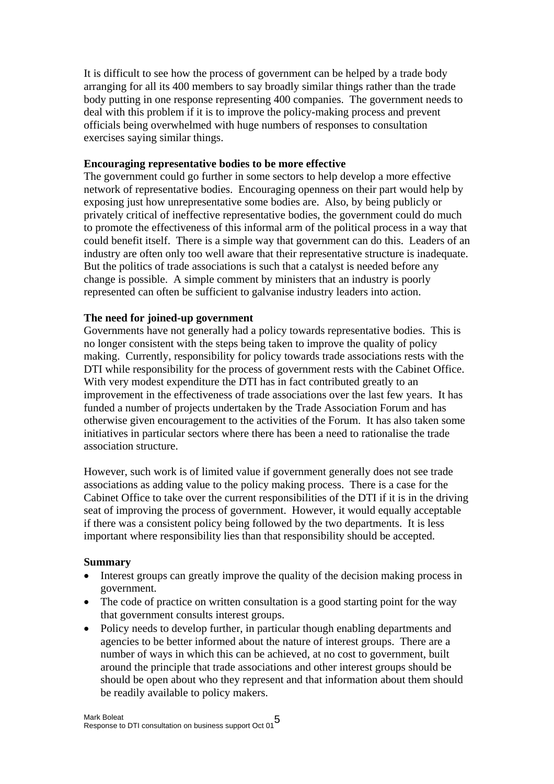It is difficult to see how the process of government can be helped by a trade body arranging for all its 400 members to say broadly similar things rather than the trade body putting in one response representing 400 companies. The government needs to deal with this problem if it is to improve the policy-making process and prevent officials being overwhelmed with huge numbers of responses to consultation exercises saying similar things.

#### **Encouraging representative bodies to be more effective**

The government could go further in some sectors to help develop a more effective network of representative bodies. Encouraging openness on their part would help by exposing just how unrepresentative some bodies are. Also, by being publicly or privately critical of ineffective representative bodies, the government could do much to promote the effectiveness of this informal arm of the political process in a way that could benefit itself. There is a simple way that government can do this. Leaders of an industry are often only too well aware that their representative structure is inadequate. But the politics of trade associations is such that a catalyst is needed before any change is possible. A simple comment by ministers that an industry is poorly represented can often be sufficient to galvanise industry leaders into action.

#### **The need for joined-up government**

Governments have not generally had a policy towards representative bodies. This is no longer consistent with the steps being taken to improve the quality of policy making. Currently, responsibility for policy towards trade associations rests with the DTI while responsibility for the process of government rests with the Cabinet Office. With very modest expenditure the DTI has in fact contributed greatly to an improvement in the effectiveness of trade associations over the last few years. It has funded a number of projects undertaken by the Trade Association Forum and has otherwise given encouragement to the activities of the Forum. It has also taken some initiatives in particular sectors where there has been a need to rationalise the trade association structure.

However, such work is of limited value if government generally does not see trade associations as adding value to the policy making process. There is a case for the Cabinet Office to take over the current responsibilities of the DTI if it is in the driving seat of improving the process of government. However, it would equally acceptable if there was a consistent policy being followed by the two departments. It is less important where responsibility lies than that responsibility should be accepted.

#### **Summary**

- Interest groups can greatly improve the quality of the decision making process in government.
- The code of practice on written consultation is a good starting point for the way that government consults interest groups.
- Policy needs to develop further, in particular though enabling departments and agencies to be better informed about the nature of interest groups. There are a number of ways in which this can be achieved, at no cost to government, built around the principle that trade associations and other interest groups should be should be open about who they represent and that information about them should be readily available to policy makers.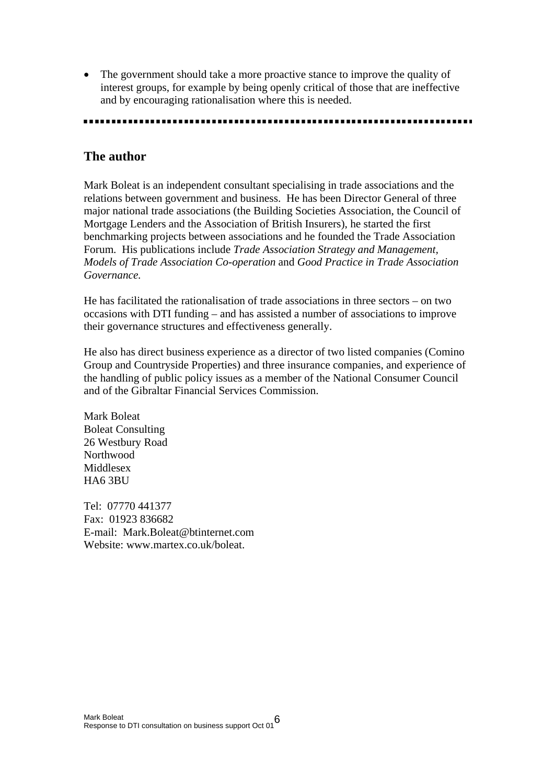• The government should take a more proactive stance to improve the quality of interest groups, for example by being openly critical of those that are ineffective and by encouraging rationalisation where this is needed.

## **The author**

Mark Boleat is an independent consultant specialising in trade associations and the relations between government and business. He has been Director General of three major national trade associations (the Building Societies Association, the Council of Mortgage Lenders and the Association of British Insurers), he started the first benchmarking projects between associations and he founded the Trade Association Forum. His publications include *Trade Association Strategy and Management, Models of Trade Association Co-operation* and *Good Practice in Trade Association Governance.*

He has facilitated the rationalisation of trade associations in three sectors – on two occasions with DTI funding – and has assisted a number of associations to improve their governance structures and effectiveness generally.

He also has direct business experience as a director of two listed companies (Comino Group and Countryside Properties) and three insurance companies, and experience of the handling of public policy issues as a member of the National Consumer Council and of the Gibraltar Financial Services Commission.

Mark Boleat Boleat Consulting 26 Westbury Road Northwood **Middlesex** HA6 3BU

Tel: 07770 441377 Fax: 01923 836682 E-mail: Mark.Boleat@btinternet.com Website: www.martex.co.uk/boleat.